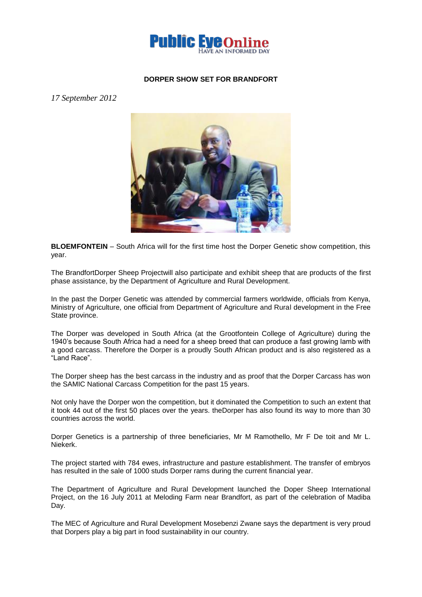

## **DORPER SHOW SET FOR BRANDFORT**

*17 September 2012*



**BLOEMFONTEIN** – South Africa will for the first time host the Dorper Genetic show competition, this year.

The BrandfortDorper Sheep Projectwill also participate and exhibit sheep that are products of the first phase assistance, by the Department of Agriculture and Rural Development.

In the past the Dorper Genetic was attended by commercial farmers worldwide, officials from Kenya, Ministry of Agriculture, one official from Department of Agriculture and Rural development in the Free State province.

The Dorper was developed in South Africa (at the Grootfontein College of Agriculture) during the 1940's because South Africa had a need for a sheep breed that can produce a fast growing lamb with a good carcass. Therefore the Dorper is a proudly South African product and is also registered as a "Land Race".

The Dorper sheep has the best carcass in the industry and as proof that the Dorper Carcass has won the SAMIC National Carcass Competition for the past 15 years.

Not only have the Dorper won the competition, but it dominated the Competition to such an extent that it took 44 out of the first 50 places over the years. theDorper has also found its way to more than 30 countries across the world.

Dorper Genetics is a partnership of three beneficiaries, Mr M Ramothello, Mr F De toit and Mr L. Niekerk.

The project started with 784 ewes, infrastructure and pasture establishment. The transfer of embryos has resulted in the sale of 1000 studs Dorper rams during the current financial year.

The Department of Agriculture and Rural Development launched the Doper Sheep International Project, on the 16 July 2011 at Meloding Farm near Brandfort, as part of the celebration of Madiba Day.

The MEC of Agriculture and Rural Development Mosebenzi Zwane says the department is very proud that Dorpers play a big part in food sustainability in our country.